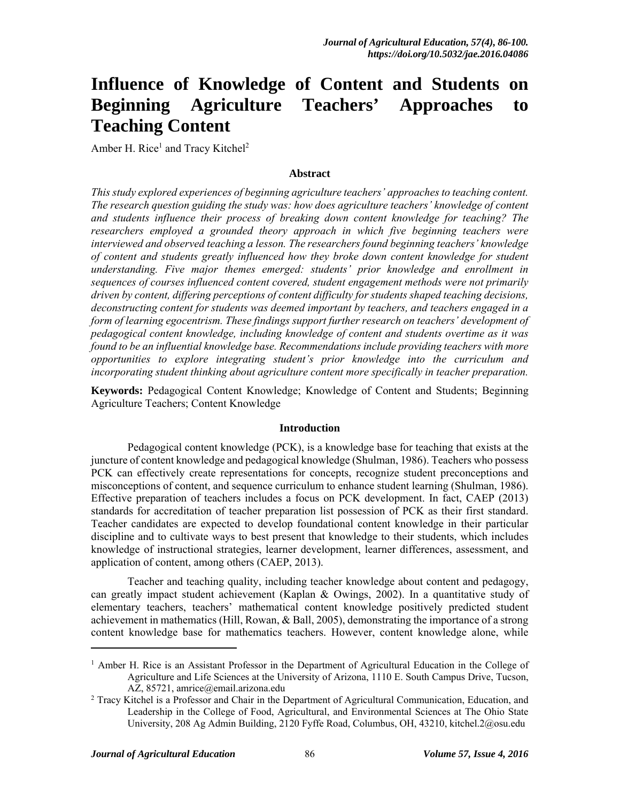# **Influence of Knowledge of Content and Students on Beginning Agriculture Teachers' Approaches to Teaching Content**

Amber H. Rice<sup>1</sup> and Tracy Kitchel<sup>2</sup>

#### **Abstract**

*This study explored experiences of beginning agriculture teachers' approaches to teaching content. The research question guiding the study was: how does agriculture teachers' knowledge of content and students influence their process of breaking down content knowledge for teaching? The researchers employed a grounded theory approach in which five beginning teachers were interviewed and observed teaching a lesson. The researchers found beginning teachers' knowledge of content and students greatly influenced how they broke down content knowledge for student understanding. Five major themes emerged: students' prior knowledge and enrollment in sequences of courses influenced content covered, student engagement methods were not primarily driven by content, differing perceptions of content difficulty for students shaped teaching decisions, deconstructing content for students was deemed important by teachers, and teachers engaged in a form of learning egocentrism. These findings support further research on teachers' development of pedagogical content knowledge, including knowledge of content and students overtime as it was found to be an influential knowledge base. Recommendations include providing teachers with more opportunities to explore integrating student's prior knowledge into the curriculum and incorporating student thinking about agriculture content more specifically in teacher preparation.* 

**Keywords:** Pedagogical Content Knowledge; Knowledge of Content and Students; Beginning Agriculture Teachers; Content Knowledge

#### **Introduction**

Pedagogical content knowledge (PCK), is a knowledge base for teaching that exists at the juncture of content knowledge and pedagogical knowledge (Shulman, 1986). Teachers who possess PCK can effectively create representations for concepts, recognize student preconceptions and misconceptions of content, and sequence curriculum to enhance student learning (Shulman, 1986). Effective preparation of teachers includes a focus on PCK development. In fact, CAEP (2013) standards for accreditation of teacher preparation list possession of PCK as their first standard. Teacher candidates are expected to develop foundational content knowledge in their particular discipline and to cultivate ways to best present that knowledge to their students, which includes knowledge of instructional strategies, learner development, learner differences, assessment, and application of content, among others (CAEP, 2013).

Teacher and teaching quality, including teacher knowledge about content and pedagogy, can greatly impact student achievement (Kaplan & Owings, 2002). In a quantitative study of elementary teachers, teachers' mathematical content knowledge positively predicted student achievement in mathematics (Hill, Rowan, & Ball, 2005), demonstrating the importance of a strong content knowledge base for mathematics teachers. However, content knowledge alone, while

l

<sup>&</sup>lt;sup>1</sup> Amber H. Rice is an Assistant Professor in the Department of Agricultural Education in the College of Agriculture and Life Sciences at the University of Arizona, 1110 E. South Campus Drive, Tucson, AZ, 85721, amrice@email.arizona.edu 2

Tracy Kitchel is a Professor and Chair in the Department of Agricultural Communication, Education, and Leadership in the College of Food, Agricultural, and Environmental Sciences at The Ohio State University, 208 Ag Admin Building, 2120 Fyffe Road, Columbus, OH, 43210, kitchel.2@osu.edu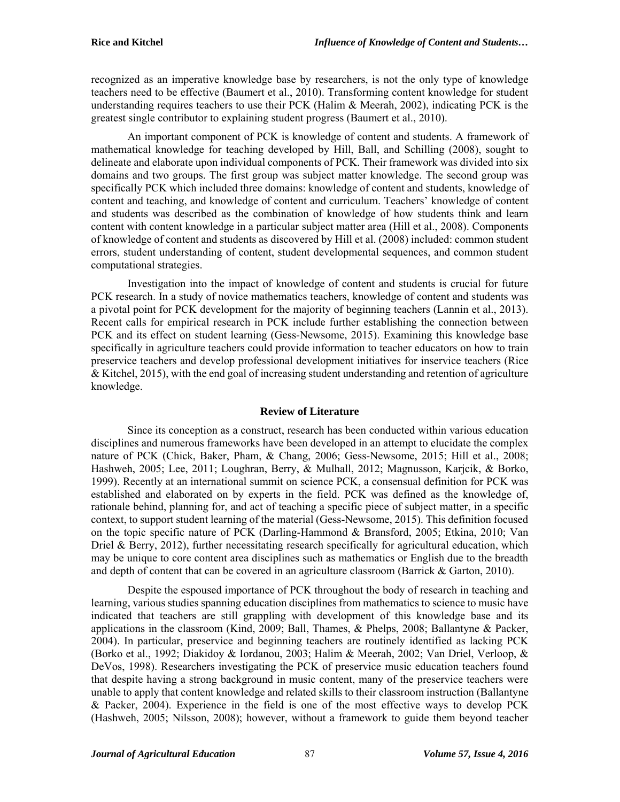recognized as an imperative knowledge base by researchers, is not the only type of knowledge teachers need to be effective (Baumert et al., 2010). Transforming content knowledge for student understanding requires teachers to use their PCK (Halim  $\&$  Meerah, 2002), indicating PCK is the greatest single contributor to explaining student progress (Baumert et al., 2010).

An important component of PCK is knowledge of content and students. A framework of mathematical knowledge for teaching developed by Hill, Ball, and Schilling (2008), sought to delineate and elaborate upon individual components of PCK. Their framework was divided into six domains and two groups. The first group was subject matter knowledge. The second group was specifically PCK which included three domains: knowledge of content and students, knowledge of content and teaching, and knowledge of content and curriculum. Teachers' knowledge of content and students was described as the combination of knowledge of how students think and learn content with content knowledge in a particular subject matter area (Hill et al., 2008). Components of knowledge of content and students as discovered by Hill et al. (2008) included: common student errors, student understanding of content, student developmental sequences, and common student computational strategies.

Investigation into the impact of knowledge of content and students is crucial for future PCK research. In a study of novice mathematics teachers, knowledge of content and students was a pivotal point for PCK development for the majority of beginning teachers (Lannin et al., 2013). Recent calls for empirical research in PCK include further establishing the connection between PCK and its effect on student learning (Gess-Newsome, 2015). Examining this knowledge base specifically in agriculture teachers could provide information to teacher educators on how to train preservice teachers and develop professional development initiatives for inservice teachers (Rice & Kitchel, 2015), with the end goal of increasing student understanding and retention of agriculture knowledge.

#### **Review of Literature**

Since its conception as a construct, research has been conducted within various education disciplines and numerous frameworks have been developed in an attempt to elucidate the complex nature of PCK (Chick, Baker, Pham, & Chang, 2006; Gess-Newsome, 2015; Hill et al., 2008; Hashweh, 2005; Lee, 2011; Loughran, Berry, & Mulhall, 2012; Magnusson, Karjcik, & Borko, 1999). Recently at an international summit on science PCK, a consensual definition for PCK was established and elaborated on by experts in the field. PCK was defined as the knowledge of, rationale behind, planning for, and act of teaching a specific piece of subject matter, in a specific context, to support student learning of the material (Gess-Newsome, 2015). This definition focused on the topic specific nature of PCK (Darling-Hammond & Bransford, 2005; Etkina, 2010; Van Driel & Berry, 2012), further necessitating research specifically for agricultural education, which may be unique to core content area disciplines such as mathematics or English due to the breadth and depth of content that can be covered in an agriculture classroom (Barrick & Garton, 2010).

Despite the espoused importance of PCK throughout the body of research in teaching and learning, various studies spanning education disciplines from mathematics to science to music have indicated that teachers are still grappling with development of this knowledge base and its applications in the classroom (Kind, 2009; Ball, Thames, & Phelps, 2008; Ballantyne & Packer, 2004). In particular, preservice and beginning teachers are routinely identified as lacking PCK (Borko et al., 1992; Diakidoy & Iordanou, 2003; Halim & Meerah, 2002; Van Driel, Verloop, & DeVos, 1998). Researchers investigating the PCK of preservice music education teachers found that despite having a strong background in music content, many of the preservice teachers were unable to apply that content knowledge and related skills to their classroom instruction (Ballantyne & Packer, 2004). Experience in the field is one of the most effective ways to develop PCK (Hashweh, 2005; Nilsson, 2008); however, without a framework to guide them beyond teacher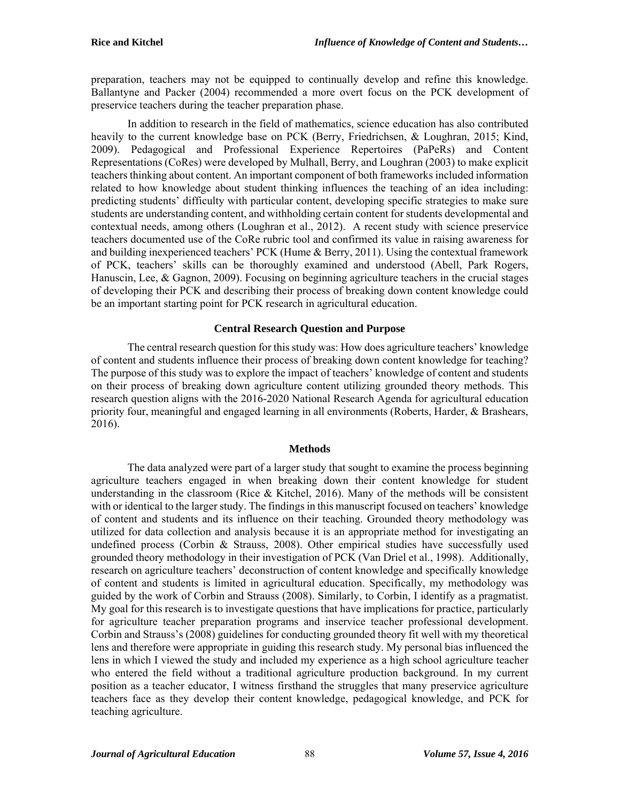preparation, teachers may not be equipped to continually develop and refine this knowledge. Ballantyne and Packer (2004) recommended a more overt focus on the PCK development of preservice teachers during the teacher preparation phase.

In addition to research in the field of mathematics, science education has also contributed heavily to the current knowledge base on PCK (Berry, Friedrichsen, & Loughran, 2015; Kind, 2009). Pedagogical and Professional Experience Repertoires (PaPeRs) and Content Representations (CoRes) were developed by Mulhall, Berry, and Loughran (2003) to make explicit teachers thinking about content. An important component of both frameworks included information related to how knowledge about student thinking influences the teaching of an idea including: predicting students' difficulty with particular content, developing specific strategies to make sure students are understanding content, and withholding certain content for students developmental and contextual needs, among others (Loughran et al., 2012). A recent study with science preservice teachers documented use of the CoRe rubric tool and confirmed its value in raising awareness for and building inexperienced teachers' PCK (Hume & Berry, 2011). Using the contextual framework of PCK, teachers' skills can be thoroughly examined and understood (Abell, Park Rogers, Hanuscin, Lee,  $\&$  Gagnon, 2009). Focusing on beginning agriculture teachers in the crucial stages of developing their PCK and describing their process of breaking down content knowledge could be an important starting point for PCK research in agricultural education.

# **Central Research Question and Purpose**

The central research question for this study was: How does agriculture teachers' knowledge of content and students influence their process of breaking down content knowledge for teaching? The purpose of this study was to explore the impact of teachers' knowledge of content and students on their process of breaking down agriculture content utilizing grounded theory methods. This research question aligns with the 2016-2020 National Research Agenda for agricultural education priority four, meaningful and engaged learning in all environments (Roberts, Harder, & Brashears, 2016).

# **Methods**

The data analyzed were part of a larger study that sought to examine the process beginning agriculture teachers engaged in when breaking down their content knowledge for student understanding in the classroom (Rice  $\&$  Kitchel, 2016). Many of the methods will be consistent with or identical to the larger study. The findings in this manuscript focused on teachers' knowledge of content and students and its influence on their teaching. Grounded theory methodology was utilized for data collection and analysis because it is an appropriate method for investigating an undefined process (Corbin & Strauss, 2008). Other empirical studies have successfully used grounded theory methodology in their investigation of PCK (Van Driel et al., 1998). Additionally, research on agriculture teachers' deconstruction of content knowledge and specifically knowledge of content and students is limited in agricultural education. Specifically, my methodology was guided by the work of Corbin and Strauss (2008). Similarly, to Corbin, I identify as a pragmatist. My goal for this research is to investigate questions that have implications for practice, particularly for agriculture teacher preparation programs and inservice teacher professional development. Corbin and Strauss's (2008) guidelines for conducting grounded theory fit well with my theoretical lens and therefore were appropriate in guiding this research study. My personal bias influenced the lens in which I viewed the study and included my experience as a high school agriculture teacher who entered the field without a traditional agriculture production background. In my current position as a teacher educator, I witness firsthand the struggles that many preservice agriculture teachers face as they develop their content knowledge, pedagogical knowledge, and PCK for teaching agriculture.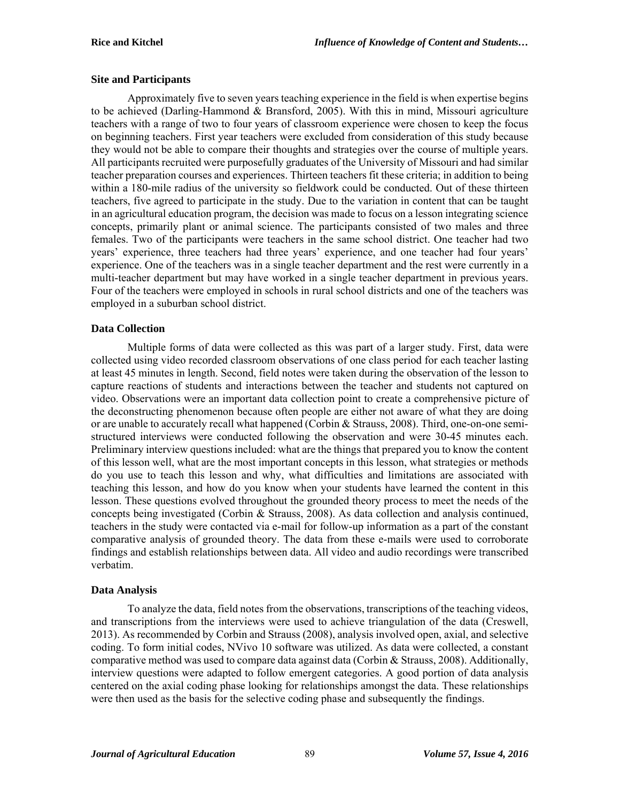## **Site and Participants**

Approximately five to seven years teaching experience in the field is when expertise begins to be achieved (Darling-Hammond & Bransford, 2005). With this in mind, Missouri agriculture teachers with a range of two to four years of classroom experience were chosen to keep the focus on beginning teachers. First year teachers were excluded from consideration of this study because they would not be able to compare their thoughts and strategies over the course of multiple years. All participants recruited were purposefully graduates of the University of Missouri and had similar teacher preparation courses and experiences. Thirteen teachers fit these criteria; in addition to being within a 180-mile radius of the university so fieldwork could be conducted. Out of these thirteen teachers, five agreed to participate in the study. Due to the variation in content that can be taught in an agricultural education program, the decision was made to focus on a lesson integrating science concepts, primarily plant or animal science. The participants consisted of two males and three females. Two of the participants were teachers in the same school district. One teacher had two years' experience, three teachers had three years' experience, and one teacher had four years' experience. One of the teachers was in a single teacher department and the rest were currently in a multi-teacher department but may have worked in a single teacher department in previous years. Four of the teachers were employed in schools in rural school districts and one of the teachers was employed in a suburban school district.

# **Data Collection**

Multiple forms of data were collected as this was part of a larger study. First, data were collected using video recorded classroom observations of one class period for each teacher lasting at least 45 minutes in length. Second, field notes were taken during the observation of the lesson to capture reactions of students and interactions between the teacher and students not captured on video. Observations were an important data collection point to create a comprehensive picture of the deconstructing phenomenon because often people are either not aware of what they are doing or are unable to accurately recall what happened (Corbin & Strauss, 2008). Third, one-on-one semistructured interviews were conducted following the observation and were 30-45 minutes each. Preliminary interview questions included: what are the things that prepared you to know the content of this lesson well, what are the most important concepts in this lesson, what strategies or methods do you use to teach this lesson and why, what difficulties and limitations are associated with teaching this lesson, and how do you know when your students have learned the content in this lesson. These questions evolved throughout the grounded theory process to meet the needs of the concepts being investigated (Corbin & Strauss, 2008). As data collection and analysis continued, teachers in the study were contacted via e-mail for follow-up information as a part of the constant comparative analysis of grounded theory. The data from these e-mails were used to corroborate findings and establish relationships between data. All video and audio recordings were transcribed verbatim.

#### **Data Analysis**

To analyze the data, field notes from the observations, transcriptions of the teaching videos, and transcriptions from the interviews were used to achieve triangulation of the data (Creswell, 2013). As recommended by Corbin and Strauss (2008), analysis involved open, axial, and selective coding. To form initial codes, NVivo 10 software was utilized. As data were collected, a constant comparative method was used to compare data against data (Corbin & Strauss, 2008). Additionally, interview questions were adapted to follow emergent categories. A good portion of data analysis centered on the axial coding phase looking for relationships amongst the data. These relationships were then used as the basis for the selective coding phase and subsequently the findings.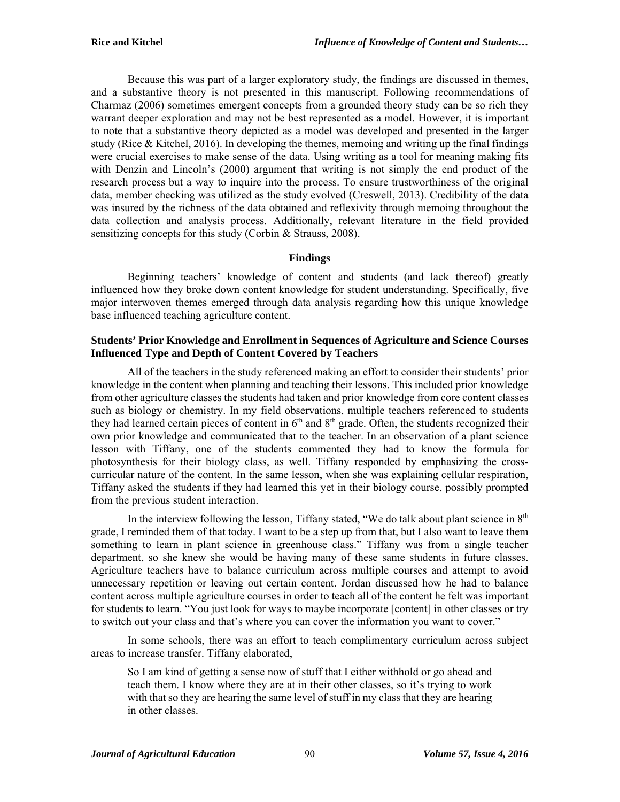Because this was part of a larger exploratory study, the findings are discussed in themes, and a substantive theory is not presented in this manuscript. Following recommendations of Charmaz (2006) sometimes emergent concepts from a grounded theory study can be so rich they warrant deeper exploration and may not be best represented as a model. However, it is important to note that a substantive theory depicted as a model was developed and presented in the larger study (Rice & Kitchel, 2016). In developing the themes, memoing and writing up the final findings were crucial exercises to make sense of the data. Using writing as a tool for meaning making fits with Denzin and Lincoln's (2000) argument that writing is not simply the end product of the research process but a way to inquire into the process. To ensure trustworthiness of the original data, member checking was utilized as the study evolved (Creswell, 2013). Credibility of the data was insured by the richness of the data obtained and reflexivity through memoing throughout the data collection and analysis process. Additionally, relevant literature in the field provided sensitizing concepts for this study (Corbin & Strauss, 2008).

# **Findings**

Beginning teachers' knowledge of content and students (and lack thereof) greatly influenced how they broke down content knowledge for student understanding. Specifically, five major interwoven themes emerged through data analysis regarding how this unique knowledge base influenced teaching agriculture content.

# **Students' Prior Knowledge and Enrollment in Sequences of Agriculture and Science Courses Influenced Type and Depth of Content Covered by Teachers**

All of the teachers in the study referenced making an effort to consider their students' prior knowledge in the content when planning and teaching their lessons. This included prior knowledge from other agriculture classes the students had taken and prior knowledge from core content classes such as biology or chemistry. In my field observations, multiple teachers referenced to students they had learned certain pieces of content in  $6<sup>th</sup>$  and  $8<sup>th</sup>$  grade. Often, the students recognized their own prior knowledge and communicated that to the teacher. In an observation of a plant science lesson with Tiffany, one of the students commented they had to know the formula for photosynthesis for their biology class, as well. Tiffany responded by emphasizing the crosscurricular nature of the content. In the same lesson, when she was explaining cellular respiration, Tiffany asked the students if they had learned this yet in their biology course, possibly prompted from the previous student interaction.

In the interview following the lesson, Tiffany stated, "We do talk about plant science in  $8<sup>th</sup>$ grade, I reminded them of that today. I want to be a step up from that, but I also want to leave them something to learn in plant science in greenhouse class." Tiffany was from a single teacher department, so she knew she would be having many of these same students in future classes. Agriculture teachers have to balance curriculum across multiple courses and attempt to avoid unnecessary repetition or leaving out certain content. Jordan discussed how he had to balance content across multiple agriculture courses in order to teach all of the content he felt was important for students to learn. "You just look for ways to maybe incorporate [content] in other classes or try to switch out your class and that's where you can cover the information you want to cover."

In some schools, there was an effort to teach complimentary curriculum across subject areas to increase transfer. Tiffany elaborated,

So I am kind of getting a sense now of stuff that I either withhold or go ahead and teach them. I know where they are at in their other classes, so it's trying to work with that so they are hearing the same level of stuff in my class that they are hearing in other classes.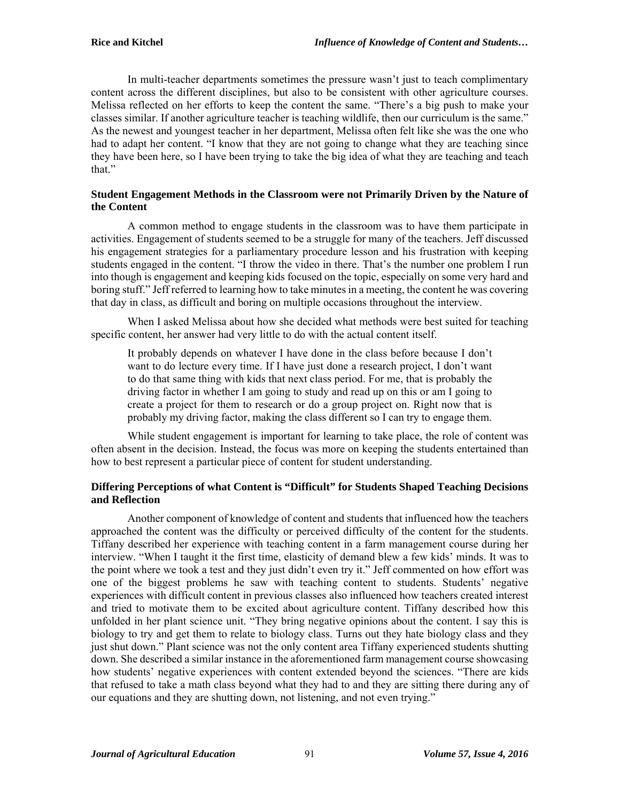In multi-teacher departments sometimes the pressure wasn't just to teach complimentary content across the different disciplines, but also to be consistent with other agriculture courses. Melissa reflected on her efforts to keep the content the same. "There's a big push to make your classes similar. If another agriculture teacher is teaching wildlife, then our curriculum is the same." As the newest and youngest teacher in her department, Melissa often felt like she was the one who had to adapt her content. "I know that they are not going to change what they are teaching since they have been here, so I have been trying to take the big idea of what they are teaching and teach that."

# **Student Engagement Methods in the Classroom were not Primarily Driven by the Nature of the Content**

A common method to engage students in the classroom was to have them participate in activities. Engagement of students seemed to be a struggle for many of the teachers. Jeff discussed his engagement strategies for a parliamentary procedure lesson and his frustration with keeping students engaged in the content. "I throw the video in there. That's the number one problem I run into though is engagement and keeping kids focused on the topic, especially on some very hard and boring stuff." Jeff referred to learning how to take minutes in a meeting, the content he was covering that day in class, as difficult and boring on multiple occasions throughout the interview.

When I asked Melissa about how she decided what methods were best suited for teaching specific content, her answer had very little to do with the actual content itself.

It probably depends on whatever I have done in the class before because I don't want to do lecture every time. If I have just done a research project, I don't want to do that same thing with kids that next class period. For me, that is probably the driving factor in whether I am going to study and read up on this or am I going to create a project for them to research or do a group project on. Right now that is probably my driving factor, making the class different so I can try to engage them.

While student engagement is important for learning to take place, the role of content was often absent in the decision. Instead, the focus was more on keeping the students entertained than how to best represent a particular piece of content for student understanding.

# **Differing Perceptions of what Content is "Difficult" for Students Shaped Teaching Decisions and Reflection**

Another component of knowledge of content and students that influenced how the teachers approached the content was the difficulty or perceived difficulty of the content for the students. Tiffany described her experience with teaching content in a farm management course during her interview. "When I taught it the first time, elasticity of demand blew a few kids' minds. It was to the point where we took a test and they just didn't even try it." Jeff commented on how effort was one of the biggest problems he saw with teaching content to students. Students' negative experiences with difficult content in previous classes also influenced how teachers created interest and tried to motivate them to be excited about agriculture content. Tiffany described how this unfolded in her plant science unit. "They bring negative opinions about the content. I say this is biology to try and get them to relate to biology class. Turns out they hate biology class and they just shut down." Plant science was not the only content area Tiffany experienced students shutting down. She described a similar instance in the aforementioned farm management course showcasing how students' negative experiences with content extended beyond the sciences. "There are kids that refused to take a math class beyond what they had to and they are sitting there during any of our equations and they are shutting down, not listening, and not even trying."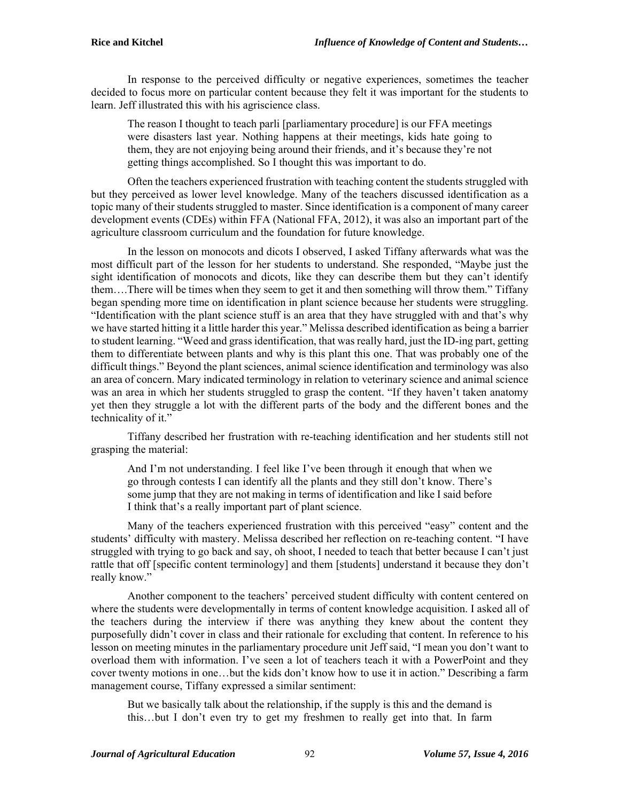In response to the perceived difficulty or negative experiences, sometimes the teacher decided to focus more on particular content because they felt it was important for the students to learn. Jeff illustrated this with his agriscience class.

The reason I thought to teach parli [parliamentary procedure] is our FFA meetings were disasters last year. Nothing happens at their meetings, kids hate going to them, they are not enjoying being around their friends, and it's because they're not getting things accomplished. So I thought this was important to do.

Often the teachers experienced frustration with teaching content the students struggled with but they perceived as lower level knowledge. Many of the teachers discussed identification as a topic many of their students struggled to master. Since identification is a component of many career development events (CDEs) within FFA (National FFA, 2012), it was also an important part of the agriculture classroom curriculum and the foundation for future knowledge.

In the lesson on monocots and dicots I observed, I asked Tiffany afterwards what was the most difficult part of the lesson for her students to understand. She responded, "Maybe just the sight identification of monocots and dicots, like they can describe them but they can't identify them….There will be times when they seem to get it and then something will throw them." Tiffany began spending more time on identification in plant science because her students were struggling. "Identification with the plant science stuff is an area that they have struggled with and that's why we have started hitting it a little harder this year." Melissa described identification as being a barrier to student learning. "Weed and grass identification, that was really hard, just the ID-ing part, getting them to differentiate between plants and why is this plant this one. That was probably one of the difficult things." Beyond the plant sciences, animal science identification and terminology was also an area of concern. Mary indicated terminology in relation to veterinary science and animal science was an area in which her students struggled to grasp the content. "If they haven't taken anatomy yet then they struggle a lot with the different parts of the body and the different bones and the technicality of it."

Tiffany described her frustration with re-teaching identification and her students still not grasping the material:

And I'm not understanding. I feel like I've been through it enough that when we go through contests I can identify all the plants and they still don't know. There's some jump that they are not making in terms of identification and like I said before I think that's a really important part of plant science.

Many of the teachers experienced frustration with this perceived "easy" content and the students' difficulty with mastery. Melissa described her reflection on re-teaching content. "I have struggled with trying to go back and say, oh shoot, I needed to teach that better because I can't just rattle that off [specific content terminology] and them [students] understand it because they don't really know."

Another component to the teachers' perceived student difficulty with content centered on where the students were developmentally in terms of content knowledge acquisition. I asked all of the teachers during the interview if there was anything they knew about the content they purposefully didn't cover in class and their rationale for excluding that content. In reference to his lesson on meeting minutes in the parliamentary procedure unit Jeff said, "I mean you don't want to overload them with information. I've seen a lot of teachers teach it with a PowerPoint and they cover twenty motions in one…but the kids don't know how to use it in action." Describing a farm management course, Tiffany expressed a similar sentiment:

But we basically talk about the relationship, if the supply is this and the demand is this…but I don't even try to get my freshmen to really get into that. In farm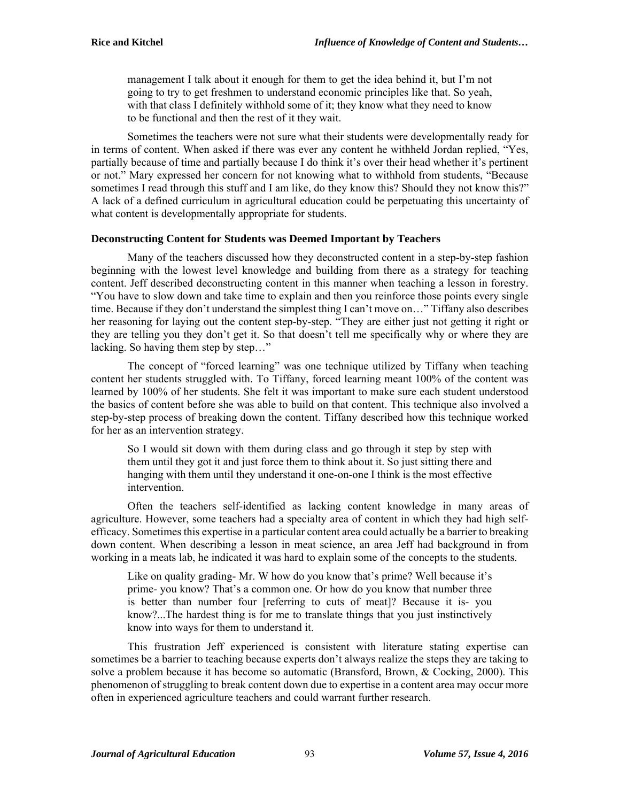management I talk about it enough for them to get the idea behind it, but I'm not going to try to get freshmen to understand economic principles like that. So yeah, with that class I definitely withhold some of it; they know what they need to know to be functional and then the rest of it they wait.

Sometimes the teachers were not sure what their students were developmentally ready for in terms of content. When asked if there was ever any content he withheld Jordan replied, "Yes, partially because of time and partially because I do think it's over their head whether it's pertinent or not." Mary expressed her concern for not knowing what to withhold from students, "Because sometimes I read through this stuff and I am like, do they know this? Should they not know this?" A lack of a defined curriculum in agricultural education could be perpetuating this uncertainty of what content is developmentally appropriate for students.

# **Deconstructing Content for Students was Deemed Important by Teachers**

Many of the teachers discussed how they deconstructed content in a step-by-step fashion beginning with the lowest level knowledge and building from there as a strategy for teaching content. Jeff described deconstructing content in this manner when teaching a lesson in forestry. "You have to slow down and take time to explain and then you reinforce those points every single time. Because if they don't understand the simplest thing I can't move on…" Tiffany also describes her reasoning for laying out the content step-by-step. "They are either just not getting it right or they are telling you they don't get it. So that doesn't tell me specifically why or where they are lacking. So having them step by step..."

The concept of "forced learning" was one technique utilized by Tiffany when teaching content her students struggled with. To Tiffany, forced learning meant 100% of the content was learned by 100% of her students. She felt it was important to make sure each student understood the basics of content before she was able to build on that content. This technique also involved a step-by-step process of breaking down the content. Tiffany described how this technique worked for her as an intervention strategy.

So I would sit down with them during class and go through it step by step with them until they got it and just force them to think about it. So just sitting there and hanging with them until they understand it one-on-one I think is the most effective intervention.

Often the teachers self-identified as lacking content knowledge in many areas of agriculture. However, some teachers had a specialty area of content in which they had high selfefficacy. Sometimes this expertise in a particular content area could actually be a barrier to breaking down content. When describing a lesson in meat science, an area Jeff had background in from working in a meats lab, he indicated it was hard to explain some of the concepts to the students.

Like on quality grading- Mr. W how do you know that's prime? Well because it's prime- you know? That's a common one. Or how do you know that number three is better than number four [referring to cuts of meat]? Because it is- you know?...The hardest thing is for me to translate things that you just instinctively know into ways for them to understand it.

This frustration Jeff experienced is consistent with literature stating expertise can sometimes be a barrier to teaching because experts don't always realize the steps they are taking to solve a problem because it has become so automatic (Bransford, Brown, & Cocking, 2000). This phenomenon of struggling to break content down due to expertise in a content area may occur more often in experienced agriculture teachers and could warrant further research.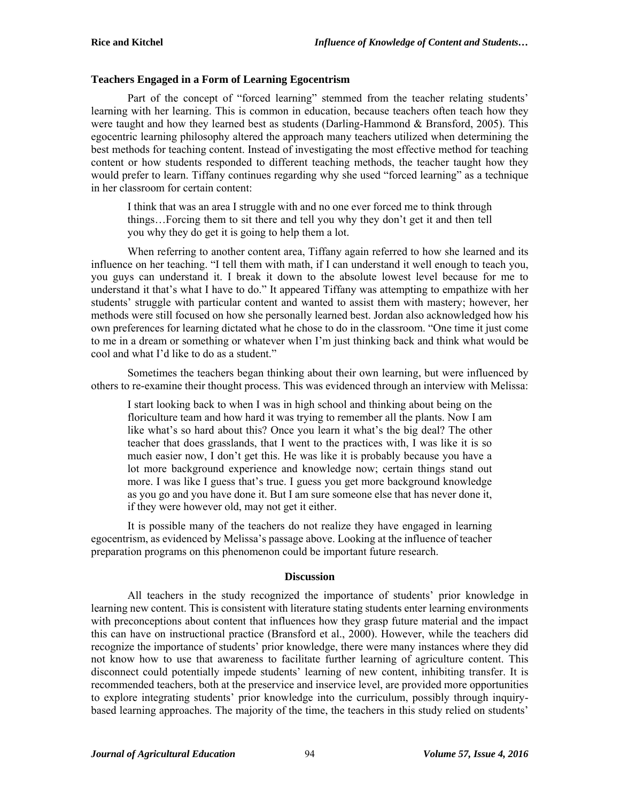#### **Teachers Engaged in a Form of Learning Egocentrism**

Part of the concept of "forced learning" stemmed from the teacher relating students' learning with her learning. This is common in education, because teachers often teach how they were taught and how they learned best as students (Darling-Hammond & Bransford, 2005). This egocentric learning philosophy altered the approach many teachers utilized when determining the best methods for teaching content. Instead of investigating the most effective method for teaching content or how students responded to different teaching methods, the teacher taught how they would prefer to learn. Tiffany continues regarding why she used "forced learning" as a technique in her classroom for certain content:

I think that was an area I struggle with and no one ever forced me to think through things…Forcing them to sit there and tell you why they don't get it and then tell you why they do get it is going to help them a lot.

When referring to another content area, Tiffany again referred to how she learned and its influence on her teaching. "I tell them with math, if I can understand it well enough to teach you, you guys can understand it. I break it down to the absolute lowest level because for me to understand it that's what I have to do." It appeared Tiffany was attempting to empathize with her students' struggle with particular content and wanted to assist them with mastery; however, her methods were still focused on how she personally learned best. Jordan also acknowledged how his own preferences for learning dictated what he chose to do in the classroom. "One time it just come to me in a dream or something or whatever when I'm just thinking back and think what would be cool and what I'd like to do as a student."

Sometimes the teachers began thinking about their own learning, but were influenced by others to re-examine their thought process. This was evidenced through an interview with Melissa:

I start looking back to when I was in high school and thinking about being on the floriculture team and how hard it was trying to remember all the plants. Now I am like what's so hard about this? Once you learn it what's the big deal? The other teacher that does grasslands, that I went to the practices with, I was like it is so much easier now, I don't get this. He was like it is probably because you have a lot more background experience and knowledge now; certain things stand out more. I was like I guess that's true. I guess you get more background knowledge as you go and you have done it. But I am sure someone else that has never done it, if they were however old, may not get it either.

It is possible many of the teachers do not realize they have engaged in learning egocentrism, as evidenced by Melissa's passage above. Looking at the influence of teacher preparation programs on this phenomenon could be important future research.

#### **Discussion**

All teachers in the study recognized the importance of students' prior knowledge in learning new content. This is consistent with literature stating students enter learning environments with preconceptions about content that influences how they grasp future material and the impact this can have on instructional practice (Bransford et al., 2000). However, while the teachers did recognize the importance of students' prior knowledge, there were many instances where they did not know how to use that awareness to facilitate further learning of agriculture content. This disconnect could potentially impede students' learning of new content, inhibiting transfer. It is recommended teachers, both at the preservice and inservice level, are provided more opportunities to explore integrating students' prior knowledge into the curriculum, possibly through inquirybased learning approaches. The majority of the time, the teachers in this study relied on students'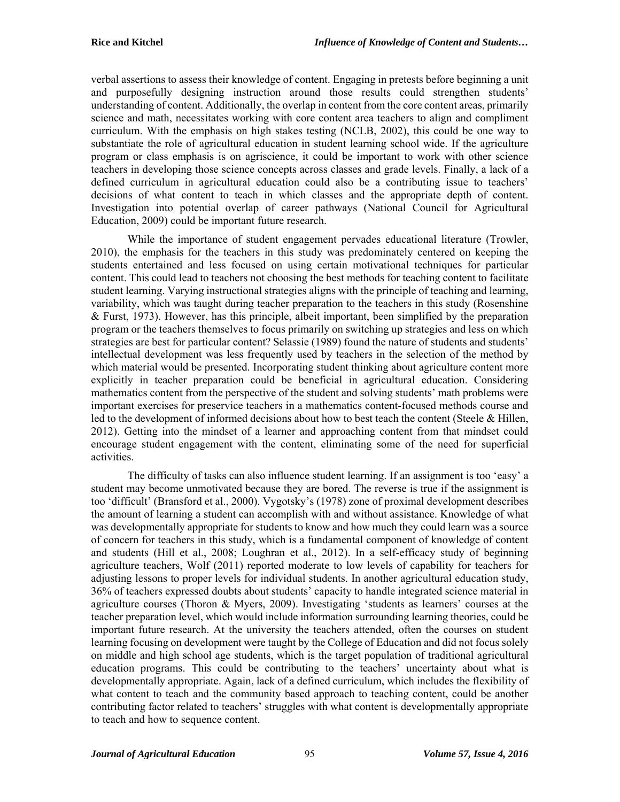verbal assertions to assess their knowledge of content. Engaging in pretests before beginning a unit and purposefully designing instruction around those results could strengthen students' understanding of content. Additionally, the overlap in content from the core content areas, primarily science and math, necessitates working with core content area teachers to align and compliment curriculum. With the emphasis on high stakes testing (NCLB, 2002), this could be one way to substantiate the role of agricultural education in student learning school wide. If the agriculture program or class emphasis is on agriscience, it could be important to work with other science teachers in developing those science concepts across classes and grade levels. Finally, a lack of a defined curriculum in agricultural education could also be a contributing issue to teachers' decisions of what content to teach in which classes and the appropriate depth of content. Investigation into potential overlap of career pathways (National Council for Agricultural Education, 2009) could be important future research.

While the importance of student engagement pervades educational literature (Trowler, 2010), the emphasis for the teachers in this study was predominately centered on keeping the students entertained and less focused on using certain motivational techniques for particular content. This could lead to teachers not choosing the best methods for teaching content to facilitate student learning. Varying instructional strategies aligns with the principle of teaching and learning, variability, which was taught during teacher preparation to the teachers in this study (Rosenshine & Furst, 1973). However, has this principle, albeit important, been simplified by the preparation program or the teachers themselves to focus primarily on switching up strategies and less on which strategies are best for particular content? Selassie (1989) found the nature of students and students' intellectual development was less frequently used by teachers in the selection of the method by which material would be presented. Incorporating student thinking about agriculture content more explicitly in teacher preparation could be beneficial in agricultural education. Considering mathematics content from the perspective of the student and solving students' math problems were important exercises for preservice teachers in a mathematics content-focused methods course and led to the development of informed decisions about how to best teach the content (Steele & Hillen, 2012). Getting into the mindset of a learner and approaching content from that mindset could encourage student engagement with the content, eliminating some of the need for superficial activities.

The difficulty of tasks can also influence student learning. If an assignment is too 'easy' a student may become unmotivated because they are bored. The reverse is true if the assignment is too 'difficult' (Bransford et al., 2000). Vygotsky's (1978) zone of proximal development describes the amount of learning a student can accomplish with and without assistance. Knowledge of what was developmentally appropriate for students to know and how much they could learn was a source of concern for teachers in this study, which is a fundamental component of knowledge of content and students (Hill et al., 2008; Loughran et al., 2012). In a self-efficacy study of beginning agriculture teachers, Wolf (2011) reported moderate to low levels of capability for teachers for adjusting lessons to proper levels for individual students. In another agricultural education study, 36% of teachers expressed doubts about students' capacity to handle integrated science material in agriculture courses (Thoron & Myers, 2009). Investigating 'students as learners' courses at the teacher preparation level, which would include information surrounding learning theories, could be important future research. At the university the teachers attended, often the courses on student learning focusing on development were taught by the College of Education and did not focus solely on middle and high school age students, which is the target population of traditional agricultural education programs. This could be contributing to the teachers' uncertainty about what is developmentally appropriate. Again, lack of a defined curriculum, which includes the flexibility of what content to teach and the community based approach to teaching content, could be another contributing factor related to teachers' struggles with what content is developmentally appropriate to teach and how to sequence content.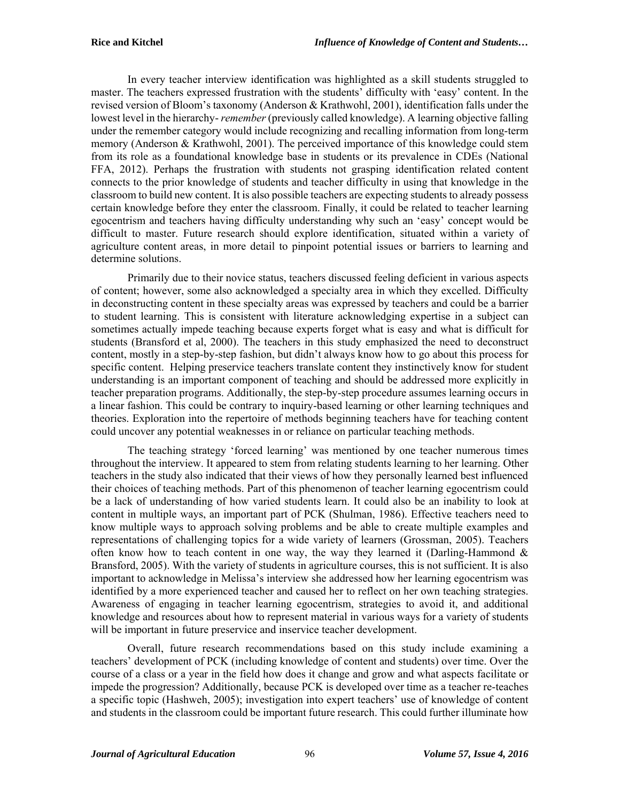In every teacher interview identification was highlighted as a skill students struggled to master. The teachers expressed frustration with the students' difficulty with 'easy' content. In the revised version of Bloom's taxonomy (Anderson & Krathwohl, 2001), identification falls under the lowest level in the hierarchy- *remember* (previously called knowledge). A learning objective falling under the remember category would include recognizing and recalling information from long-term memory (Anderson & Krathwohl, 2001). The perceived importance of this knowledge could stem from its role as a foundational knowledge base in students or its prevalence in CDEs (National FFA, 2012). Perhaps the frustration with students not grasping identification related content connects to the prior knowledge of students and teacher difficulty in using that knowledge in the classroom to build new content. It is also possible teachers are expecting students to already possess certain knowledge before they enter the classroom. Finally, it could be related to teacher learning egocentrism and teachers having difficulty understanding why such an 'easy' concept would be difficult to master. Future research should explore identification, situated within a variety of agriculture content areas, in more detail to pinpoint potential issues or barriers to learning and determine solutions.

Primarily due to their novice status, teachers discussed feeling deficient in various aspects of content; however, some also acknowledged a specialty area in which they excelled. Difficulty in deconstructing content in these specialty areas was expressed by teachers and could be a barrier to student learning. This is consistent with literature acknowledging expertise in a subject can sometimes actually impede teaching because experts forget what is easy and what is difficult for students (Bransford et al, 2000). The teachers in this study emphasized the need to deconstruct content, mostly in a step-by-step fashion, but didn't always know how to go about this process for specific content. Helping preservice teachers translate content they instinctively know for student understanding is an important component of teaching and should be addressed more explicitly in teacher preparation programs. Additionally, the step-by-step procedure assumes learning occurs in a linear fashion. This could be contrary to inquiry-based learning or other learning techniques and theories. Exploration into the repertoire of methods beginning teachers have for teaching content could uncover any potential weaknesses in or reliance on particular teaching methods.

The teaching strategy 'forced learning' was mentioned by one teacher numerous times throughout the interview. It appeared to stem from relating students learning to her learning. Other teachers in the study also indicated that their views of how they personally learned best influenced their choices of teaching methods. Part of this phenomenon of teacher learning egocentrism could be a lack of understanding of how varied students learn. It could also be an inability to look at content in multiple ways, an important part of PCK (Shulman, 1986). Effective teachers need to know multiple ways to approach solving problems and be able to create multiple examples and representations of challenging topics for a wide variety of learners (Grossman, 2005). Teachers often know how to teach content in one way, the way they learned it (Darling-Hammond  $\&$ Bransford, 2005). With the variety of students in agriculture courses, this is not sufficient. It is also important to acknowledge in Melissa's interview she addressed how her learning egocentrism was identified by a more experienced teacher and caused her to reflect on her own teaching strategies. Awareness of engaging in teacher learning egocentrism, strategies to avoid it, and additional knowledge and resources about how to represent material in various ways for a variety of students will be important in future preservice and inservice teacher development.

Overall, future research recommendations based on this study include examining a teachers' development of PCK (including knowledge of content and students) over time. Over the course of a class or a year in the field how does it change and grow and what aspects facilitate or impede the progression? Additionally, because PCK is developed over time as a teacher re-teaches a specific topic (Hashweh, 2005); investigation into expert teachers' use of knowledge of content and students in the classroom could be important future research. This could further illuminate how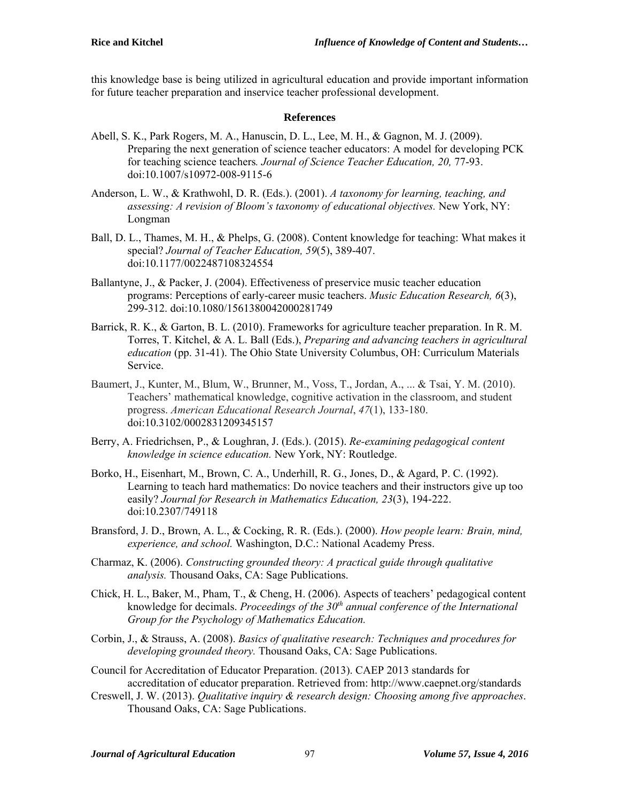this knowledge base is being utilized in agricultural education and provide important information for future teacher preparation and inservice teacher professional development.

## **References**

- Abell, S. K., Park Rogers, M. A., Hanuscin, D. L., Lee, M. H., & Gagnon, M. J. (2009). Preparing the next generation of science teacher educators: A model for developing PCK for teaching science teachers*. Journal of Science Teacher Education, 20,* 77-93. doi:10.1007/s10972-008-9115-6
- Anderson, L. W., & Krathwohl, D. R. (Eds.). (2001). *A taxonomy for learning, teaching, and assessing: A revision of Bloom's taxonomy of educational objectives.* New York, NY: Longman
- Ball, D. L., Thames, M. H., & Phelps, G. (2008). Content knowledge for teaching: What makes it special? *Journal of Teacher Education, 59*(5), 389-407. doi:10.1177/0022487108324554
- Ballantyne, J., & Packer, J. (2004). Effectiveness of preservice music teacher education programs: Perceptions of early-career music teachers. *Music Education Research, 6*(3), 299-312. doi:10.1080/1561380042000281749
- Barrick, R. K., & Garton, B. L. (2010). Frameworks for agriculture teacher preparation. In R. M. Torres, T. Kitchel, & A. L. Ball (Eds.), *Preparing and advancing teachers in agricultural education* (pp. 31-41). The Ohio State University Columbus, OH: Curriculum Materials Service.
- Baumert, J., Kunter, M., Blum, W., Brunner, M., Voss, T., Jordan, A., ... & Tsai, Y. M. (2010). Teachers' mathematical knowledge, cognitive activation in the classroom, and student progress. *American Educational Research Journal*, *47*(1), 133-180. doi:10.3102/0002831209345157
- Berry, A. Friedrichsen, P., & Loughran, J. (Eds.). (2015). *Re-examining pedagogical content knowledge in science education.* New York, NY: Routledge.
- Borko, H., Eisenhart, M., Brown, C. A., Underhill, R. G., Jones, D., & Agard, P. C. (1992). Learning to teach hard mathematics: Do novice teachers and their instructors give up too easily? *Journal for Research in Mathematics Education, 23*(3), 194-222. doi:10.2307/749118
- Bransford, J. D., Brown, A. L., & Cocking, R. R. (Eds.). (2000). *How people learn: Brain, mind, experience, and school.* Washington, D.C.: National Academy Press.
- Charmaz, K. (2006). *Constructing grounded theory: A practical guide through qualitative analysis.* Thousand Oaks, CA: Sage Publications.
- Chick, H. L., Baker, M., Pham, T., & Cheng, H. (2006). Aspects of teachers' pedagogical content knowledge for decimals. *Proceedings of the 30<sup>th</sup> annual conference of the International Group for the Psychology of Mathematics Education.*
- Corbin, J., & Strauss, A. (2008). *Basics of qualitative research: Techniques and procedures for developing grounded theory.* Thousand Oaks, CA: Sage Publications.
- Council for Accreditation of Educator Preparation. (2013). CAEP 2013 standards for accreditation of educator preparation. Retrieved from: http://www.caepnet.org/standards
- Creswell, J. W. (2013). *Qualitative inquiry & research design: Choosing among five approaches*. Thousand Oaks, CA: Sage Publications.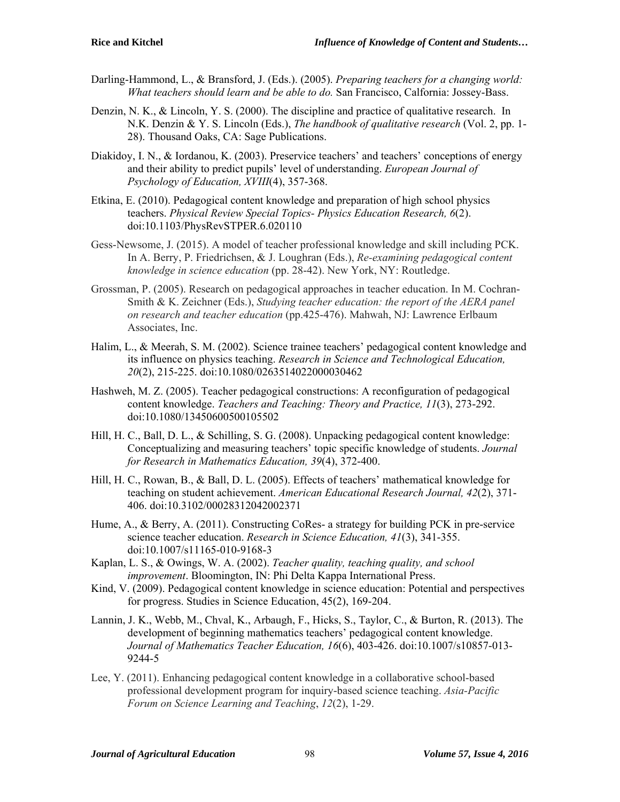- Darling-Hammond, L., & Bransford, J. (Eds.). (2005). *Preparing teachers for a changing world: What teachers should learn and be able to do.* San Francisco, Calfornia: Jossey-Bass.
- Denzin, N. K., & Lincoln, Y. S. (2000). The discipline and practice of qualitative research. In N.K. Denzin & Y. S. Lincoln (Eds.), *The handbook of qualitative research* (Vol. 2, pp. 1- 28). Thousand Oaks, CA: Sage Publications.
- Diakidoy, I. N., & Iordanou, K. (2003). Preservice teachers' and teachers' conceptions of energy and their ability to predict pupils' level of understanding. *European Journal of Psychology of Education, XVIII*(4), 357-368.
- Etkina, E. (2010). Pedagogical content knowledge and preparation of high school physics teachers. *Physical Review Special Topics- Physics Education Research, 6*(2). doi:10.1103/PhysRevSTPER.6.020110
- Gess-Newsome, J. (2015). A model of teacher professional knowledge and skill including PCK. In A. Berry, P. Friedrichsen, & J. Loughran (Eds.), *Re-examining pedagogical content knowledge in science education* (pp. 28-42). New York, NY: Routledge.
- Grossman, P. (2005). Research on pedagogical approaches in teacher education. In M. Cochran-Smith & K. Zeichner (Eds.), *Studying teacher education: the report of the AERA panel on research and teacher education* (pp.425-476). Mahwah, NJ: Lawrence Erlbaum Associates, Inc.
- Halim, L., & Meerah, S. M. (2002). Science trainee teachers' pedagogical content knowledge and its influence on physics teaching. *Research in Science and Technological Education, 20*(2), 215-225. doi:10.1080/0263514022000030462
- Hashweh, M. Z. (2005). Teacher pedagogical constructions: A reconfiguration of pedagogical content knowledge. *Teachers and Teaching: Theory and Practice, 11*(3), 273-292. doi:10.1080/13450600500105502
- Hill, H. C., Ball, D. L., & Schilling, S. G. (2008). Unpacking pedagogical content knowledge: Conceptualizing and measuring teachers' topic specific knowledge of students. *Journal for Research in Mathematics Education, 39*(4), 372-400.
- Hill, H. C., Rowan, B., & Ball, D. L. (2005). Effects of teachers' mathematical knowledge for teaching on student achievement. *American Educational Research Journal, 42*(2), 371- 406. doi:10.3102/00028312042002371
- Hume, A., & Berry, A. (2011). Constructing CoRes- a strategy for building PCK in pre-service science teacher education. *Research in Science Education, 41*(3), 341-355. doi:10.1007/s11165-010-9168-3
- Kaplan, L. S., & Owings, W. A. (2002). *Teacher quality, teaching quality, and school improvement*. Bloomington, IN: Phi Delta Kappa International Press.
- Kind, V. (2009). Pedagogical content knowledge in science education: Potential and perspectives for progress. Studies in Science Education, 45(2), 169-204.
- Lannin, J. K., Webb, M., Chval, K., Arbaugh, F., Hicks, S., Taylor, C., & Burton, R. (2013). The development of beginning mathematics teachers' pedagogical content knowledge. *Journal of Mathematics Teacher Education, 16*(6), 403-426. doi:10.1007/s10857-013- 9244-5
- Lee, Y. (2011). Enhancing pedagogical content knowledge in a collaborative school-based professional development program for inquiry-based science teaching. *Asia-Pacific Forum on Science Learning and Teaching*, *12*(2), 1-29.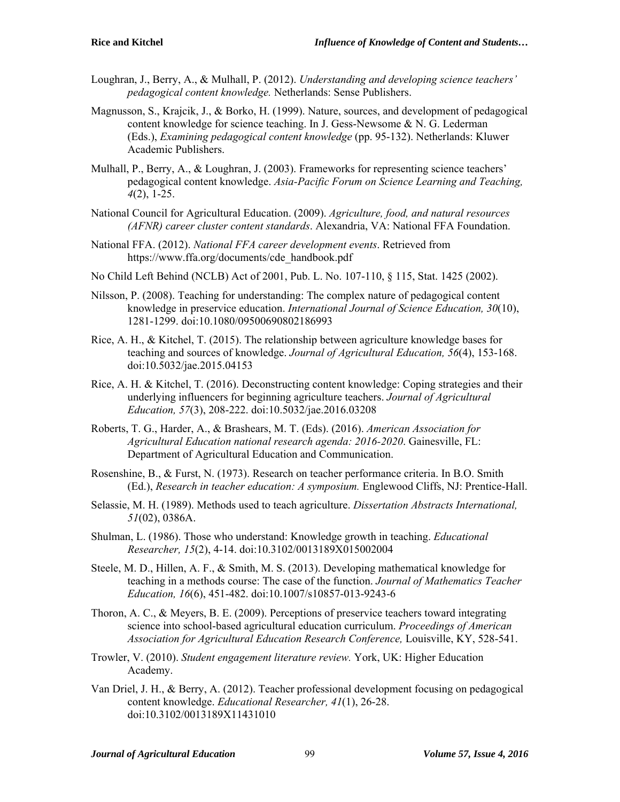- Loughran, J., Berry, A., & Mulhall, P. (2012). *Understanding and developing science teachers' pedagogical content knowledge.* Netherlands: Sense Publishers.
- Magnusson, S., Krajcik, J., & Borko, H. (1999). Nature, sources, and development of pedagogical content knowledge for science teaching. In J. Gess-Newsome & N. G. Lederman (Eds.), *Examining pedagogical content knowledge* (pp. 95-132). Netherlands: Kluwer Academic Publishers.
- Mulhall, P., Berry, A., & Loughran, J. (2003). Frameworks for representing science teachers' pedagogical content knowledge. *Asia-Pacific Forum on Science Learning and Teaching, 4*(2), 1-25.
- National Council for Agricultural Education. (2009). *Agriculture, food, and natural resources (AFNR) career cluster content standards*. Alexandria, VA: National FFA Foundation.
- National FFA. (2012). *National FFA career development events*. Retrieved from https://www.ffa.org/documents/cde\_handbook.pdf
- No Child Left Behind (NCLB) Act of 2001, Pub. L. No. 107-110, § 115, Stat. 1425 (2002).
- Nilsson, P. (2008). Teaching for understanding: The complex nature of pedagogical content knowledge in preservice education. *International Journal of Science Education, 30*(10), 1281-1299. doi:10.1080/09500690802186993
- Rice, A. H., & Kitchel, T. (2015). The relationship between agriculture knowledge bases for teaching and sources of knowledge. *Journal of Agricultural Education, 56*(4), 153-168. doi:10.5032/jae.2015.04153
- Rice, A. H. & Kitchel, T. (2016). Deconstructing content knowledge: Coping strategies and their underlying influencers for beginning agriculture teachers. *Journal of Agricultural Education, 57*(3), 208-222. doi:10.5032/jae.2016.03208
- Roberts, T. G., Harder, A., & Brashears, M. T. (Eds). (2016). *American Association for Agricultural Education national research agenda: 2016-2020*. Gainesville, FL: Department of Agricultural Education and Communication.
- Rosenshine, B., & Furst, N. (1973). Research on teacher performance criteria. In B.O. Smith (Ed.), *Research in teacher education: A symposium.* Englewood Cliffs, NJ: Prentice-Hall.
- Selassie, M. H. (1989). Methods used to teach agriculture. *Dissertation Abstracts International, 51*(02), 0386A.
- Shulman, L. (1986). Those who understand: Knowledge growth in teaching. *Educational Researcher, 15*(2), 4-14. doi:10.3102/0013189X015002004
- Steele, M. D., Hillen, A. F., & Smith, M. S. (2013). Developing mathematical knowledge for teaching in a methods course: The case of the function. *Journal of Mathematics Teacher Education, 16*(6), 451-482. doi:10.1007/s10857-013-9243-6
- Thoron, A. C., & Meyers, B. E. (2009). Perceptions of preservice teachers toward integrating science into school-based agricultural education curriculum. *Proceedings of American Association for Agricultural Education Research Conference,* Louisville, KY, 528-541.
- Trowler, V. (2010). *Student engagement literature review.* York, UK: Higher Education Academy.
- Van Driel, J. H., & Berry, A. (2012). Teacher professional development focusing on pedagogical content knowledge. *Educational Researcher, 41*(1), 26-28. doi:10.3102/0013189X11431010